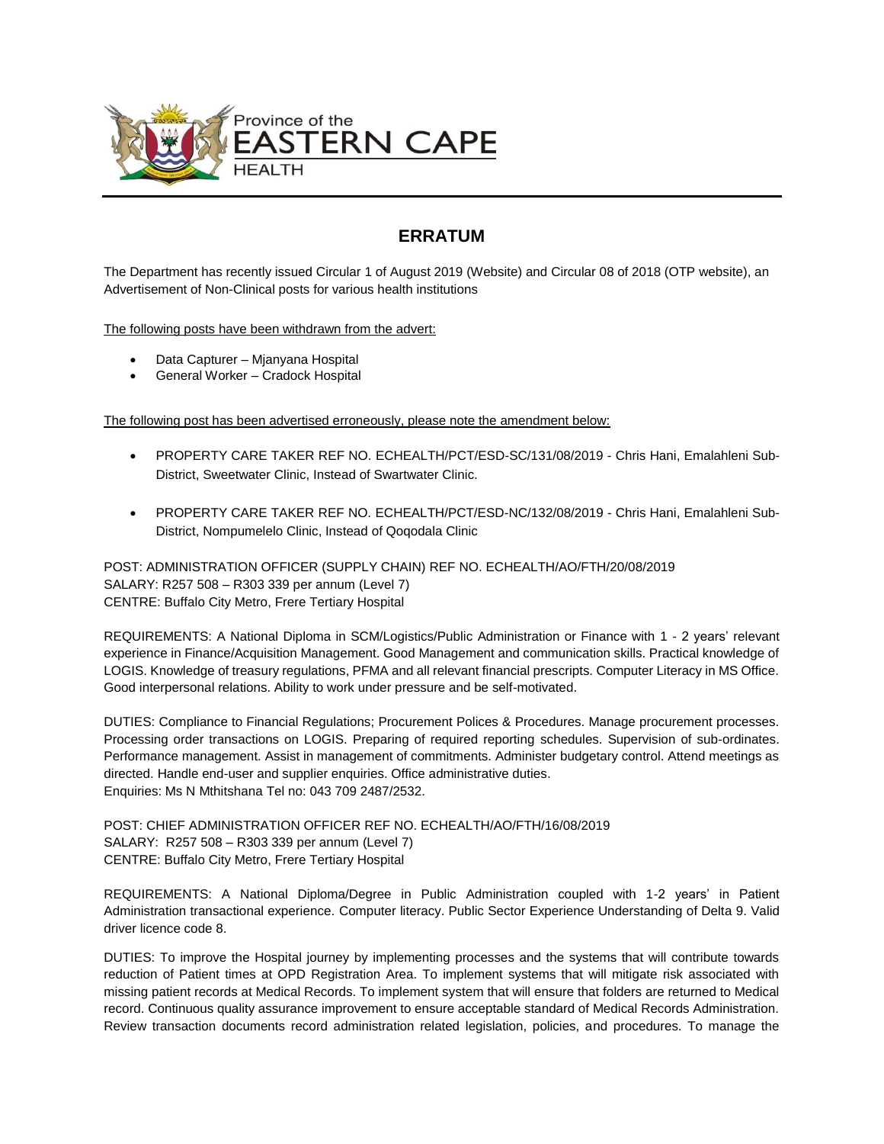

## **ERRATUM**

The Department has recently issued Circular 1 of August 2019 (Website) and Circular 08 of 2018 (OTP website), an Advertisement of Non-Clinical posts for various health institutions

The following posts have been withdrawn from the advert:

- Data Capturer Mjanyana Hospital
- General Worker Cradock Hospital

The following post has been advertised erroneously, please note the amendment below:

- PROPERTY CARE TAKER REF NO. ECHEALTH/PCT/ESD-SC/131/08/2019 Chris Hani, Emalahleni Sub-District, Sweetwater Clinic, Instead of Swartwater Clinic.
- PROPERTY CARE TAKER REF NO. ECHEALTH/PCT/ESD-NC/132/08/2019 Chris Hani, Emalahleni Sub-District, Nompumelelo Clinic, Instead of Qoqodala Clinic

POST: ADMINISTRATION OFFICER (SUPPLY CHAIN) REF NO. ECHEALTH/AO/FTH/20/08/2019 SALARY: R257 508 – R303 339 per annum (Level 7) CENTRE: Buffalo City Metro, Frere Tertiary Hospital

REQUIREMENTS: A National Diploma in SCM/Logistics/Public Administration or Finance with 1 - 2 years' relevant experience in Finance/Acquisition Management. Good Management and communication skills. Practical knowledge of LOGIS. Knowledge of treasury regulations, PFMA and all relevant financial prescripts. Computer Literacy in MS Office. Good interpersonal relations. Ability to work under pressure and be self-motivated.

DUTIES: Compliance to Financial Regulations; Procurement Polices & Procedures. Manage procurement processes. Processing order transactions on LOGIS. Preparing of required reporting schedules. Supervision of sub-ordinates. Performance management. Assist in management of commitments. Administer budgetary control. Attend meetings as directed. Handle end-user and supplier enquiries. Office administrative duties. Enquiries: Ms N Mthitshana Tel no: 043 709 2487/2532.

POST: CHIEF ADMINISTRATION OFFICER REF NO. ECHEALTH/AO/FTH/16/08/2019 SALARY: R257 508 – R303 339 per annum (Level 7) CENTRE: Buffalo City Metro, Frere Tertiary Hospital

REQUIREMENTS: A National Diploma/Degree in Public Administration coupled with 1-2 years' in Patient Administration transactional experience. Computer literacy. Public Sector Experience Understanding of Delta 9. Valid driver licence code 8.

DUTIES: To improve the Hospital journey by implementing processes and the systems that will contribute towards reduction of Patient times at OPD Registration Area. To implement systems that will mitigate risk associated with missing patient records at Medical Records. To implement system that will ensure that folders are returned to Medical record. Continuous quality assurance improvement to ensure acceptable standard of Medical Records Administration. Review transaction documents record administration related legislation, policies, and procedures. To manage the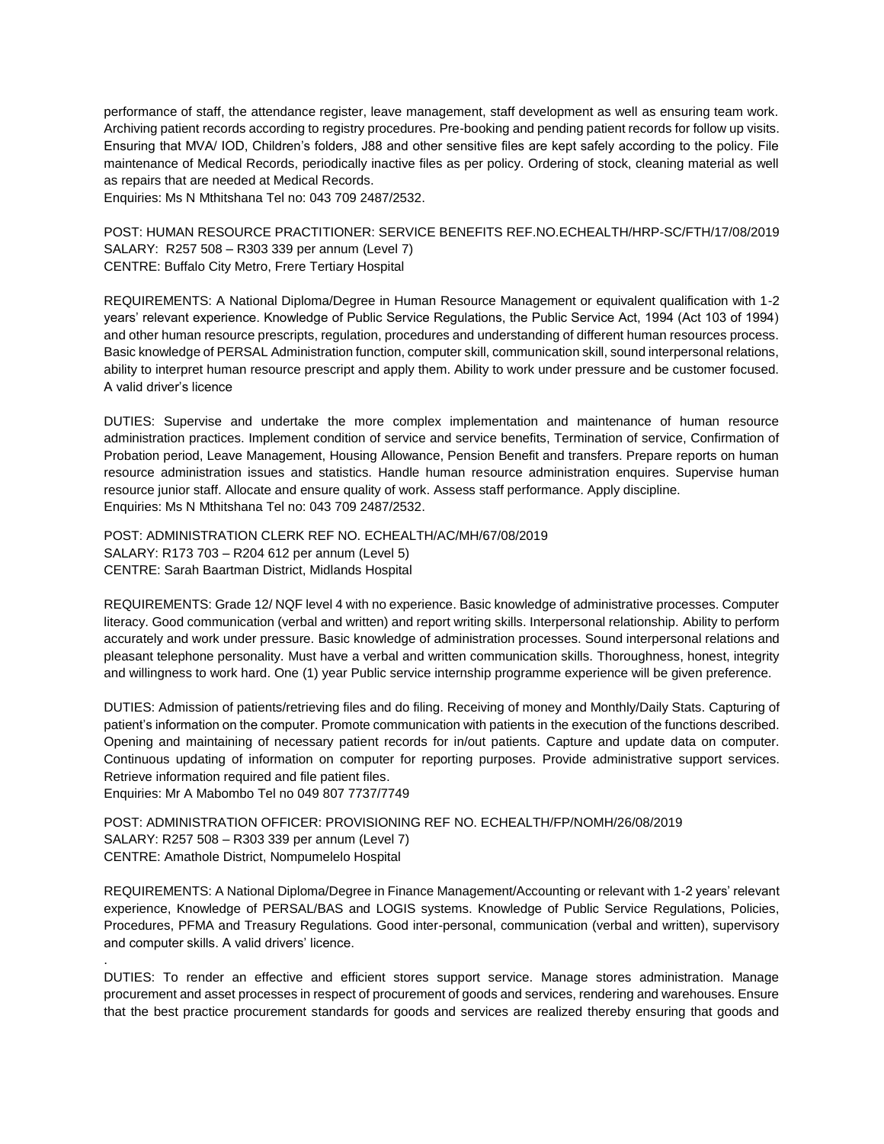performance of staff, the attendance register, leave management, staff development as well as ensuring team work. Archiving patient records according to registry procedures. Pre-booking and pending patient records for follow up visits. Ensuring that MVA/ IOD, Children's folders, J88 and other sensitive files are kept safely according to the policy. File maintenance of Medical Records, periodically inactive files as per policy. Ordering of stock, cleaning material as well as repairs that are needed at Medical Records.

Enquiries: Ms N Mthitshana Tel no: 043 709 2487/2532.

POST: HUMAN RESOURCE PRACTITIONER: SERVICE BENEFITS REF.NO.ECHEALTH/HRP-SC/FTH/17/08/2019 SALARY: R257 508 – R303 339 per annum (Level 7) CENTRE: Buffalo City Metro, Frere Tertiary Hospital

REQUIREMENTS: A National Diploma/Degree in Human Resource Management or equivalent qualification with 1-2 years' relevant experience. Knowledge of Public Service Regulations, the Public Service Act, 1994 (Act 103 of 1994) and other human resource prescripts, regulation, procedures and understanding of different human resources process. Basic knowledge of PERSAL Administration function, computer skill, communication skill, sound interpersonal relations, ability to interpret human resource prescript and apply them. Ability to work under pressure and be customer focused. A valid driver's licence

DUTIES: Supervise and undertake the more complex implementation and maintenance of human resource administration practices. Implement condition of service and service benefits, Termination of service, Confirmation of Probation period, Leave Management, Housing Allowance, Pension Benefit and transfers. Prepare reports on human resource administration issues and statistics. Handle human resource administration enquires. Supervise human resource junior staff. Allocate and ensure quality of work. Assess staff performance. Apply discipline. Enquiries: Ms N Mthitshana Tel no: 043 709 2487/2532.

POST: ADMINISTRATION CLERK REF NO. ECHEALTH/AC/MH/67/08/2019 SALARY: R173 703 – R204 612 per annum (Level 5) CENTRE: Sarah Baartman District, Midlands Hospital

REQUIREMENTS: Grade 12/ NQF level 4 with no experience. Basic knowledge of administrative processes. Computer literacy. Good communication (verbal and written) and report writing skills. Interpersonal relationship. Ability to perform accurately and work under pressure. Basic knowledge of administration processes. Sound interpersonal relations and pleasant telephone personality. Must have a verbal and written communication skills. Thoroughness, honest, integrity and willingness to work hard. One (1) year Public service internship programme experience will be given preference.

DUTIES: Admission of patients/retrieving files and do filing. Receiving of money and Monthly/Daily Stats. Capturing of patient's information on the computer. Promote communication with patients in the execution of the functions described. Opening and maintaining of necessary patient records for in/out patients. Capture and update data on computer. Continuous updating of information on computer for reporting purposes. Provide administrative support services. Retrieve information required and file patient files.

Enquiries: Mr A Mabombo Tel no 049 807 7737/7749

.

POST: ADMINISTRATION OFFICER: PROVISIONING REF NO. ECHEALTH/FP/NOMH/26/08/2019 SALARY: R257 508 – R303 339 per annum (Level 7) CENTRE: Amathole District, Nompumelelo Hospital

REQUIREMENTS: A National Diploma/Degree in Finance Management/Accounting or relevant with 1-2 years' relevant experience, Knowledge of PERSAL/BAS and LOGIS systems. Knowledge of Public Service Regulations, Policies, Procedures, PFMA and Treasury Regulations. Good inter-personal, communication (verbal and written), supervisory and computer skills. A valid drivers' licence.

DUTIES: To render an effective and efficient stores support service. Manage stores administration. Manage procurement and asset processes in respect of procurement of goods and services, rendering and warehouses. Ensure that the best practice procurement standards for goods and services are realized thereby ensuring that goods and